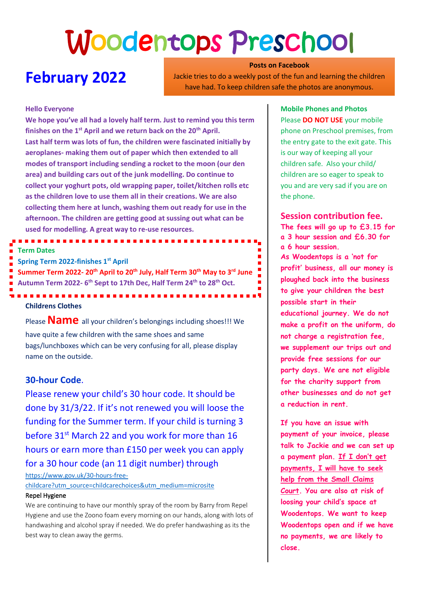# Woodentops Preschool

# **February 2022**

**Posts on Facebook** Jackie tries to do a weekly post of the fun and learning the children have had. To keep children safe the photos are anonymous.

#### **Hello Everyone**

**We hope you've all had a lovely half term. Just to remind you this term finishes on the 1st April and we return back on the 20th April. Last half term was lots of fun, the children were fascinated initially by aeroplanes- making them out of paper which then extended to all modes of transport including sending a rocket to the moon (our den area) and building cars out of the junk modelling. Do continue to collect your yoghurt pots, old wrapping paper, toilet/kitchen rolls etc as the children love to use them all in their creations. We are also collecting them here at lunch, washing them out ready for use in the afternoon. The children are getting good at sussing out what can be used for modelling. A great way to re-use resources.** 

#### **Term Dates**

**Spring Term 2022-finishes 1st April**

**Summer Term 2022- 20th April to 20th July, Half Term 30 th May to 3 rd June Autumn Term 2022- 6 th Sept to 17th Dec, Half Term 24 th to 28 th Oct.**

------------

### **Childrens Clothes**

Please **Name** all your children's belongings including shoes!!! We have quite a few children with the same shoes and same bags/lunchboxes which can be very confusing for all, please display name on the outside.

#### **30-hour Code**.

Please renew your child's 30 hour code. It should be done by 31/3/22. If it's not renewed you will loose the funding for the Summer term. If your child is turning 3 before 31<sup>st</sup> March 22 and you work for more than 16 hours or earn more than £150 per week you can apply for a 30 hour code (an 11 digit number) through

[https://www.gov.uk/30-hours-free-](https://www.gov.uk/30-hours-free-childcare?utm_source=childcarechoices&utm_medium=microsite)

[childcare?utm\\_source=childcarechoices&utm\\_medium=microsite](https://www.gov.uk/30-hours-free-childcare?utm_source=childcarechoices&utm_medium=microsite)

#### Repel Hygiene

We are continuing to have our monthly spray of the room by Barry from Repel Hygiene and use the Zoono foam every morning on our hands, along with lots of handwashing and alcohol spray if needed. We do prefer handwashing as its the best way to clean away the germs.

#### **Mobile Phones and Photos**

Please **DO NOT USE** your mobile phone on Preschool premises, from the entry gate to the exit gate. This is our way of keeping all your children safe. Also your child/ children are so eager to speak to you and are very sad if you are on the phone.

#### **Session contribution fee.**

**The fees will go up to £3.15 for a 3 hour session and £6.30 for a 6 hour session. As Woodentops is a 'not for profit' business, all our money is ploughed back into the business to give your children the best possible start in their educational journey. We do not make a profit on the uniform, do not charge a registration fee, we supplement our trips out and provide free sessions for our party days. We are not eligible for the charity support from other businesses and do not get a reduction in rent.** 

**If you have an issue with payment of your invoice, please talk to Jackie and we can set up a payment plan. If I don't get payments, I will have to seek help from the Small Claims Court. You are also at risk of loosing your child's space at Woodentops. We want to keep Woodentops open and if we have no payments, we are likely to close.**